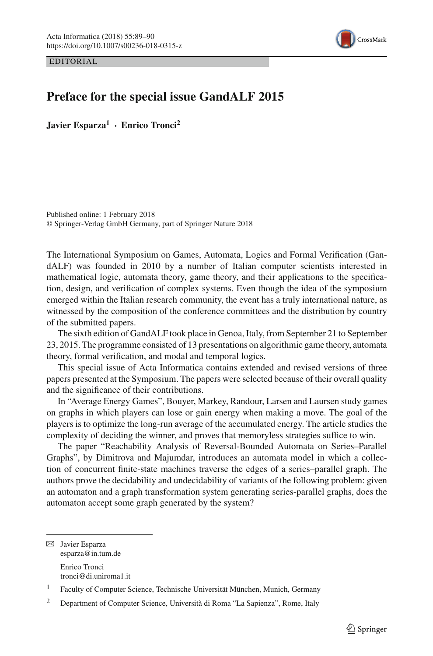

EDITORIAL

## **Preface for the special issue GandALF 2015**

**Javier Esparza1 · Enrico Tronci2**

Published online: 1 February 2018 © Springer-Verlag GmbH Germany, part of Springer Nature 2018

The International Symposium on Games, Automata, Logics and Formal Verification (GandALF) was founded in 2010 by a number of Italian computer scientists interested in mathematical logic, automata theory, game theory, and their applications to the specification, design, and verification of complex systems. Even though the idea of the symposium emerged within the Italian research community, the event has a truly international nature, as witnessed by the composition of the conference committees and the distribution by country of the submitted papers.

The sixth edition of GandALF took place in Genoa, Italy, from September 21 to September 23, 2015. The programme consisted of 13 presentations on algorithmic game theory, automata theory, formal verification, and modal and temporal logics.

This special issue of Acta Informatica contains extended and revised versions of three papers presented at the Symposium. The papers were selected because of their overall quality and the significance of their contributions.

In "Average Energy Games", Bouyer, Markey, Randour, Larsen and Laursen study games on graphs in which players can lose or gain energy when making a move. The goal of the players is to optimize the long-run average of the accumulated energy. The article studies the complexity of deciding the winner, and proves that memoryless strategies suffice to win.

The paper "Reachability Analysis of Reversal-Bounded Automata on Series–Parallel Graphs", by Dimitrova and Majumdar, introduces an automata model in which a collection of concurrent finite-state machines traverse the edges of a series–parallel graph. The authors prove the decidability and undecidability of variants of the following problem: given an automaton and a graph transformation system generating series-parallel graphs, does the automaton accept some graph generated by the system?

B Javier Esparza esparza@in.tum.de Enrico Tronci tronci@di.uniroma1.it

<sup>1</sup> Faculty of Computer Science, Technische Universität München, Munich, Germany

<sup>2</sup> Department of Computer Science, Università di Roma "La Sapienza", Rome, Italy